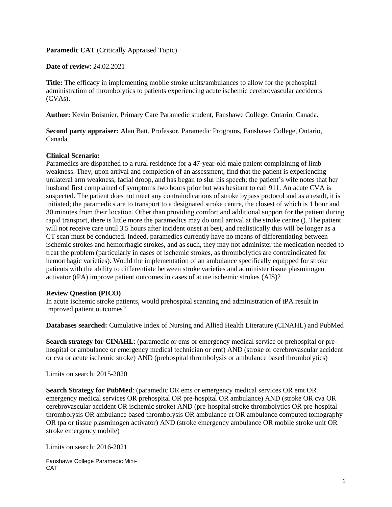**Paramedic CAT** (Critically Appraised Topic)

**Date of review**: 24.02.2021

**Title:** The efficacy in implementing mobile stroke units/ambulances to allow for the prehospital administration of thrombolytics to patients experiencing acute ischemic cerebrovascular accidents (CVAs).

**Author:** Kevin Boismier, Primary Care Paramedic student, Fanshawe College, Ontario, Canada.

**Second party appraiser:** Alan Batt, Professor, Paramedic Programs, Fanshawe College, Ontario, Canada.

#### **Clinical Scenario:**

Paramedics are dispatched to a rural residence for a 47-year-old male patient complaining of limb weakness. They, upon arrival and completion of an assessment, find that the patient is experiencing unilateral arm weakness, facial droop, and has began to slur his speech; the patient's wife notes that her husband first complained of symptoms two hours prior but was hesitant to call 911. An acute CVA is suspected. The patient does not meet any contraindications of stroke bypass protocol and as a result, it is initiated; the paramedics are to transport to a designated stroke centre, the closest of which is 1 hour and 30 minutes from their location. Other than providing comfort and additional support for the patient during rapid transport, there is little more the paramedics may do until arrival at the stroke centre (). The patient will not receive care until 3.5 hours after incident onset at best, and realistically this will be longer as a CT scan must be conducted. Indeed, paramedics currently have no means of differentiating between ischemic strokes and hemorrhagic strokes, and as such, they may not administer the medication needed to treat the problem (particularly in cases of ischemic strokes, as thrombolytics are contraindicated for hemorrhagic varieties). Would the implementation of an ambulance specifically equipped for stroke patients with the ability to differentiate between stroke varieties and administer tissue plasminogen activator (tPA) improve patient outcomes in cases of acute ischemic strokes (AIS)?

#### **Review Question (PICO)**

In acute ischemic stroke patients, would prehospital scanning and administration of tPA result in improved patient outcomes?

**Databases searched:** Cumulative Index of Nursing and Allied Health Literature (CINAHL) and PubMed

**Search strategy for CINAHL**: (paramedic or ems or emergency medical service or prehospital or prehospital or ambulance or emergency medical technician or emt) AND (stroke or cerebrovascular accident or cva or acute ischemic stroke) AND (prehospital thrombolysis or ambulance based thrombolytics)

Limits on search: 2015-2020

**Search Strategy for PubMed:** (paramedic OR ems or emergency medical services OR emt OR emergency medical services OR prehospital OR pre-hospital OR ambulance) AND (stroke OR cva OR cerebrovascular accident OR ischemic stroke) AND (pre-hospital stroke thrombolytics OR pre-hospital thrombolysis OR ambulance based thrombolysis OR ambulance ct OR ambulance computed tomography OR tpa or tissue plasminogen activator) AND (stroke emergency ambulance OR mobile stroke unit OR stroke emergency mobile)

Limits on search: 2016-2021

Fanshawe College Paramedic Mini-CAT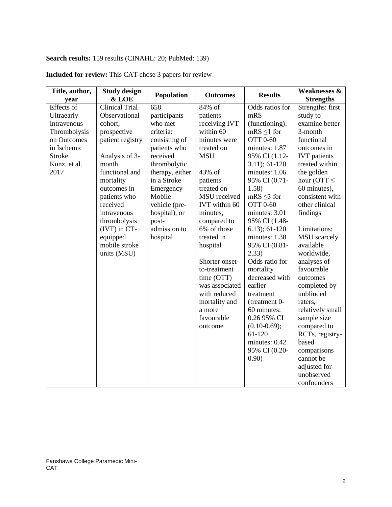# **Search results:** 159 results (CINAHL: 20; PubMed: 139)

| Title, author, | <b>Study design</b>   | <b>Population</b> | <b>Outcomes</b> | <b>Results</b>    | <b>Weaknesses &amp;</b> |
|----------------|-----------------------|-------------------|-----------------|-------------------|-------------------------|
| year           | & LOE                 |                   |                 |                   | <b>Strengths</b>        |
| Effects of     | <b>Clinical Trial</b> | 658               | 84% of          | Odds ratios for   | Strengths: first        |
| Ultraearly     | Observational         | participants      | patients        | mRS               | study to                |
| Intravenous    | cohort,               | who met           | receiving IVT   | (functioning):    | examine better          |
| Thrombolysis   | prospective           | criteria:         | within 60       | $mRS \leq 1$ for  | 3-month                 |
| on Outcomes    | patient registry      | consisting of     | minutes were    | <b>OTT 0-60</b>   | functional              |
| in Ischemic    |                       | patients who      | treated on      | minutes: 1.87     | outcomes in             |
| <b>Stroke</b>  | Analysis of 3-        | received          | <b>MSU</b>      | 95% CI (1.12-     | <b>IVT</b> patients     |
| Kunz, et al.   | month                 | thrombolytic      |                 | $3.11$ ; $61-120$ | treated within          |
| 2017           | functional and        | therapy, either   | 43% of          | minutes: 1.06     | the golden              |
|                | mortality             | in a Stroke       | patients        | 95% CI (0.71-     | hour (OTT $\leq$        |
|                | outcomes in           | Emergency         | treated on      | 1.58)             | 60 minutes),            |
|                | patients who          | Mobile            | MSU received    | $mRS \leq 3$ for  | consistent with         |
|                | received              | vehicle (pre-     | IVT within 60   | <b>OTT 0-60</b>   | other clinical          |
|                | intravenous           | hospital), or     | minutes,        | minutes: 3.01     | findings                |
|                | thrombolysis          | post-             | compared to     | 95% CI (1.48-     |                         |
|                | (IVT) in CT-          | admission to      | 6% of those     | $6.13$ ; $61-120$ | Limitations:            |
|                | equipped              | hospital          | treated in      | minutes: 1.38     | <b>MSU</b> scarcely     |
|                | mobile stroke         |                   | hospital        | 95% CI (0.81-     | available               |
|                | units (MSU)           |                   |                 | 2.33)             | worldwide,              |
|                |                       |                   | Shorter onset-  | Odds ratio for    | analyses of             |
|                |                       |                   | to-treatment    | mortality         | favourable              |
|                |                       |                   | time (OTT)      | decreased with    | outcomes                |
|                |                       |                   | was associated  | earlier           | completed by            |
|                |                       |                   | with reduced    | treatment         | unblinded               |
|                |                       |                   | mortality and   | (treatment 0-     | raters,                 |
|                |                       |                   | a more          | 60 minutes:       | relatively small        |
|                |                       |                   | favourable      | 0.26 95% CI       | sample size             |
|                |                       |                   | outcome         | $(0.10-0.69);$    | compared to             |
|                |                       |                   |                 | 61-120            | RCTs, registry-         |
|                |                       |                   |                 | minutes: 0.42     | based                   |
|                |                       |                   |                 | 95% CI (0.20-     | comparisons             |
|                |                       |                   |                 | 0.90)             | cannot be               |
|                |                       |                   |                 |                   | adjusted for            |
|                |                       |                   |                 |                   | unobserved              |
|                |                       |                   |                 |                   | confounders             |

## **Included for review:** This CAT chose 3 papers for review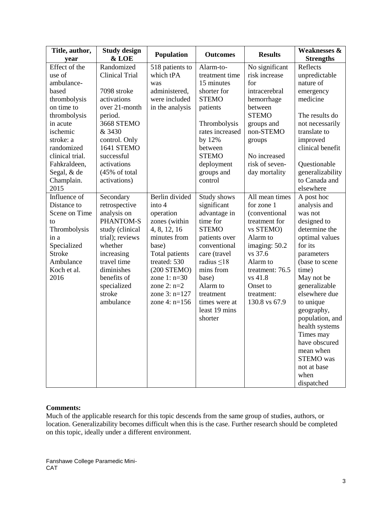| Title, author,<br>year                                                                                                                                                                                          | <b>Study design</b><br>& LOE                                                                                                                                                                                              | Population                                                                                                                                                                                                                  | <b>Outcomes</b>                                                                                                                                                                                                                         | <b>Results</b>                                                                                                                                                                                           | <b>Weaknesses &amp;</b><br><b>Strengths</b>                                                                                                                                                                                                                                                                                                                                  |
|-----------------------------------------------------------------------------------------------------------------------------------------------------------------------------------------------------------------|---------------------------------------------------------------------------------------------------------------------------------------------------------------------------------------------------------------------------|-----------------------------------------------------------------------------------------------------------------------------------------------------------------------------------------------------------------------------|-----------------------------------------------------------------------------------------------------------------------------------------------------------------------------------------------------------------------------------------|----------------------------------------------------------------------------------------------------------------------------------------------------------------------------------------------------------|------------------------------------------------------------------------------------------------------------------------------------------------------------------------------------------------------------------------------------------------------------------------------------------------------------------------------------------------------------------------------|
| Effect of the<br>use of<br>ambulance-<br>based<br>thrombolysis<br>on time to<br>thrombolysis<br>in acute<br>ischemic<br>stroke: a<br>randomized<br>clinical trial.<br>Fahkraldeen,<br>Segal, & de<br>Champlain. | Randomized<br><b>Clinical Trial</b><br>7098 stroke<br>activations<br>over 21-month<br>period.<br><b>3668 STEMO</b><br>& 3430<br>control. Only<br>1641 STEMO<br>successful<br>activations<br>(45% of total<br>activations) | 518 patients to<br>which tPA<br>was<br>administered,<br>were included<br>in the analysis                                                                                                                                    | Alarm-to-<br>treatment time<br>15 minutes<br>shorter for<br><b>STEMO</b><br>patients<br>Thrombolysis<br>rates increased<br>by 12%<br>between<br><b>STEMO</b><br>deployment<br>groups and<br>control                                     | No significant<br>risk increase<br>for<br>intracerebral<br>hemorrhage<br>between<br><b>STEMO</b><br>groups and<br>non-STEMO<br>groups<br>No increased<br>risk of seven-<br>day mortality                 | Reflects<br>unpredictable<br>nature of<br>emergency<br>medicine<br>The results do<br>not necessarily<br>translate to<br>improved<br>clinical benefit<br>Questionable<br>generalizability<br>to Canada and                                                                                                                                                                    |
| 2015<br>Influence of<br>Distance to<br>Scene on Time<br>to<br>Thrombolysis<br>in a<br>Specialized<br><b>Stroke</b><br>Ambulance<br>Koch et al.<br>2016                                                          | Secondary<br>retrospective<br>analysis on<br>PHANTOM-S<br>study (clinical<br>trial); reviews<br>whether<br>increasing<br>travel time<br>diminishes<br>benefits of<br>specialized<br>stroke<br>ambulance                   | Berlin divided<br>into 4<br>operation<br>zones (within<br>4, 8, 12, 16<br>minutes from<br>base)<br>Total patients<br>treated: 530<br>$(200$ STEMO)<br>zone $1: n=30$<br>zone $2: n=2$<br>zone $3: n=127$<br>zone 4: $n=156$ | Study shows<br>significant<br>advantage in<br>time for<br><b>STEMO</b><br>patients over<br>conventional<br>care (travel<br>radius $\leq 18$<br>mins from<br>base)<br>Alarm to<br>treatment<br>times were at<br>least 19 mins<br>shorter | All mean times<br>for zone 1<br>(conventional<br>treatment for<br>vs STEMO)<br>Alarm to<br>imaging: 50.2<br>vs 37.6<br>Alarm to<br>treatment: 76.5<br>vs 41.8<br>Onset to<br>treatment:<br>130.8 vs 67.9 | elsewhere<br>A post hoc<br>analysis and<br>was not<br>designed to<br>determine the<br>optimal values<br>for its<br>parameters<br>(base to scene<br>time)<br>May not be<br>generalizable<br>elsewhere due<br>to unique<br>geography,<br>population, and<br>health systems<br>Times may<br>have obscured<br>mean when<br><b>STEMO</b> was<br>not at base<br>when<br>dispatched |

#### **Comments:**

Much of the applicable research for this topic descends from the same group of studies, authors, or location. Generalizability becomes difficult when this is the case. Further research should be completed on this topic, ideally under a different environment.